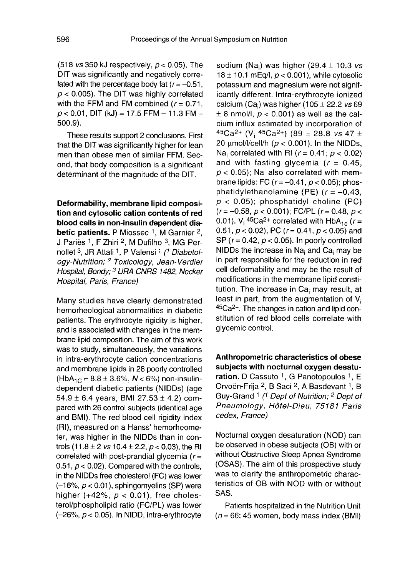(518 vs 350 kJ respectively,  $p < 0.05$ ). The DIT was significantly and negatively correlated with the percentage body fat  $(r=-0.51,$  $p < 0.005$ ). The DIT was highly correlated with the FFM and FM combined  $(r = 0.71,$  $p < 0.01$ , DIT (kJ) = 17.5 FFM - 11.3 FM -500.9).

These results support 2 conclusions. First that the DIT was significantly higher for lean men than obese men of similar FFM. Second, that body composition is a significant determinant of the magnitude of the DIT.

Deformability, membrane lipid composition and cytosolic cation contents of red blood cells in non-insulin dependent diabetic patients. P Miossec  $1$ , M Garnier  $2$ , J Pariès <sup>1</sup>, F Zhiri <sup>2</sup>, M Dufilho <sup>3</sup>, MG Pernollet <sup>3</sup>, JR Attali <sup>1</sup>, P Valensi <sup>1</sup> (<sup>1</sup> Diabetol-**Exercise In an Exploration and Cytosolic cation contents of red**<br> **blood cells in non-insulin dependent dia-<br>
betic patients.** P Miossec 1, M Garnier 2,<br>
J Pariès 1, F Zhiri 2, M Dufilho <sup>3</sup>, MG Per-<br>
nollet <sup>3</sup>, JR Attal Hospital, Paris, France)

Many studies have clearly demonstrated hemorheological abnormalities in diabetic patients. The erythrocyte rigidity is higher, and is associated with changes in the membrane lipid composition. The aim of this work was to study, simultaneously, the variations in intra-erythrocyte cation concentrations and membrane lipids in 28 poorly controlled  $(HbA_{1C} = 8.8 \pm 3.6\%, N < 6\%)$  non-insulindependent diabetic patients (NIDDs) (age 54.9  $\pm$  6.4 years, BMI 27.53  $\pm$  4.2) compared with 26 control subjects (identical age and BMI). The red blood cell rigidity index (RI), measured on a Hanss' hemorheometer, was higher in the NIDDs than in controls (11.8  $\pm$  2 *vs* 10.4  $\pm$  2.2, *p* < 0.03), the RI correlated with post-prandial glycemia  $(r=$ 0.51,  $p < 0.02$ ). Compared with the controls, in the NIDDs free cholesterol (FC) was lower  $(-16\%$ ,  $p < 0.01$ ), sphingomyelins (SP) were higher (+42%,  $p < 0.01$ ), free cholesterol/phospholipid ratio (FC/PL) was lower  $(-26\%, p < 0.05)$ . In NIDD, intra-erythrocyte

sodium (Na<sub>i</sub>) was higher (29.4  $\pm$  10.3 vs 18  $\pm$  10.1 mEq/l,  $p < 0.001$ ), while cytosolic potassium and magnesium were not significantly different. Intra-erythrocyte ionized<br>calcium (Ca<sub>i</sub>) was higher (105 ± 22.2 *vs* 69<br>+ 8 nmol (i, n < 0.001) as well as the eal  $\pm$  8 nmol/l,  $p < 0.001$ ) as well as the calcium influx estimated by incorporation of calcium (Ca<sub>i</sub>) was higher (105 ± 22.2 *vs* 69<br>  $\pm$  8 nmol/l, *p* < 0.001) as well as the calcium influx estimated by incorporation of<br>  ${}^{45}Ca^{2+}$  (V<sub>i</sub>  ${}^{45}Ca^{2+}$ ) (89 ± 28.8 *vs* 47 ±<br>
20 µmol/l/cell/h (*p* < 0.001 20 ymnon, *p* < 0.001) as wen as the car<br>cium influx estimated by incorporation of<br> ${}^{45}Ca^{2+}$  (V<sub>i</sub>  ${}^{45}Ca^{2+}$ ) (89 ± 28.8 *vs* 47 ±<br>20 μmol/l/cell/h (*p* < 0.001). In the NIDDs,<br>Na: correlated with RI (*r* = 0.41: 20  $\mu$ mol/l/cell/h ( $\rho$  < 0.001). In the NIDDs,<br>Na<sub>i</sub> correlated with RI ( $r = 0.41$ ;  $\rho$  < 0.02)<br>and with fasting glycemia ( $r = 0.45$ ,<br> $\rho$  < 0.05); Na<sub>i</sub> also correlated with mem-<br>brane lipids: FC ( $r = -0.41$ ,  $\rho$  < 0 and with fasting glycemia ( $r = 0.45$ ,  $p < 0.05$ ); Na<sub>i</sub> also correlated with mem-<br>brane lipids: FC ( $r = -0.41$ ,  $p < 0.05$ ); phosphatidylethanolamine (PE)  $(r = -0.43,$  $p < 0.05$ ; phosphatidyl choline (PC)  $p < 0.05$ ); phosphatidyl choline (PC)<br>(r = -0.58, p < 0.001); FC/PL (r = 0.48, p <<br>0.01). V<sub>i</sub> <sup>45</sup>Ca<sup>2+</sup> correlated with HbA<sub>1c</sub> (r = 0.51,  $p < 0.02$ ), PC ( $r = 0.41$ ,  $p < 0.05$ ) and SP ( $r = 0.42$ ,  $p < 0.05$ ). In poorly controlled NIDDs the increase in  $Na<sub>i</sub>$  and  $Ca<sub>i</sub>$  may be in part responsible for the reduction in red cell deformability and may be the result of modifications in the membrane lipid constimodifications in the membrane lipid constitution. The increase in Ca<sub>i</sub> may result, at<br>least in part, from the augmentation of V<sub>i</sub><br> $^{45}Ca^{2+}$ . The changes in cation and lipid con-<br>stitution of red blood cells correlate least in part, from the augmentation of  $V_i$  45Ca<sup>2+</sup>. The changes in cation and lipid constitution of red blood cells correlate with glycemic control.

Anthropometric characteristics of obese subjects with nocturnal oxygen desatu**ration.** D Cassuto <sup>1</sup>, G Panotopoulos <sup>1</sup>, E subjects with nocturnal oxygen desatu-<br>ration. D Cassuto 1, G Panotopoulos 1, E<br>Orvoën-Frija <sup>2</sup>, B Saci <sup>2</sup>, A Basdevant 1, B<br>Cur Casad 1, C Bart of Matrities 2, Bart to Anthropometric characteristics of obese<br>subjects with nocturnal oxygen desatu-<br>ration. D Cassuto <sup>1</sup>, G Panotopoulos <sup>1</sup>, E<br>Orvoën-Frija <sup>2</sup>, B Saci <sup>2</sup>, A Basdevant <sup>1</sup>, B<br>Guy-Grand <sup>1</sup> (<sup>1</sup> Dept of Nutrition; <sup>2</sup> Dept of Pneumology, Hôtel-Dieu, 75181 Paris cedex, France)

Nocturnal oxygen desaturation (NOD) can be observed in obese subjects (OB) with or without Obstructive Sleep Apnea Syndrome (OSAS). The aim of this prospective study was to clarify the anthropometric characteristics of OB with NOD with or without SAS.

Patients hospitalized in the Nutrition Unit  $(n = 66; 45$  women, body mass index (BMI)